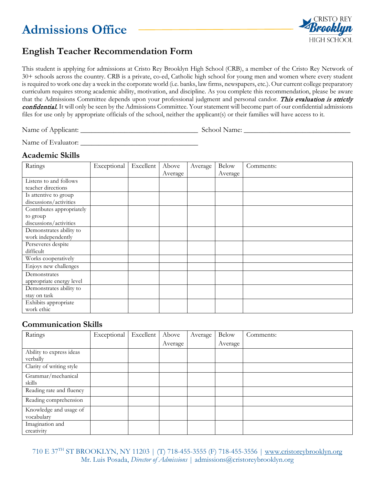# **Admissions Office**



# **English Teacher Recommendation Form**

This student is applying for admissions at Cristo Rey Brooklyn High School (CRB), a member of the Cristo Rey Network of 30+ schools across the country. CRB is a private, co-ed, Catholic high school for young men and women where every student is required to work one day a week in the corporate world (i.e. banks, law firms, newspapers, etc.). Our current college preparatory curriculum requires strong academic ability, motivation, and discipline. As you complete this recommendation, please be aware that the Admissions Committee depends upon your professional judgment and personal candor. This evaluation is strictly confidential. It will only be seen by the Admissions Committee. Your statement will become part of our confidential admissions files for use only by appropriate officials of the school, neither the applicant(s) or their families will have access to it.

Name of Applicant: \_\_\_\_\_\_\_\_\_\_\_\_\_\_\_\_\_\_\_\_\_\_\_\_\_\_\_\_\_\_\_\_ School Name: \_\_\_\_\_\_\_\_\_\_\_\_\_\_\_\_\_\_\_\_\_\_\_\_\_\_\_\_\_

Name of Evaluator: \_\_\_\_\_\_\_\_\_\_\_\_\_\_\_\_\_\_\_\_\_\_\_\_\_\_\_\_\_\_\_\_

### **Academic Skills**

| Ratings                   | Exceptional | Excellent | Above   | Average | <b>Below</b> | Comments: |
|---------------------------|-------------|-----------|---------|---------|--------------|-----------|
|                           |             |           | Average |         | Average      |           |
| Listens to and follows    |             |           |         |         |              |           |
| teacher directions        |             |           |         |         |              |           |
| Is attentive to group     |             |           |         |         |              |           |
| discussions/activities    |             |           |         |         |              |           |
| Contributes appropriately |             |           |         |         |              |           |
| to group                  |             |           |         |         |              |           |
| discussions/activities    |             |           |         |         |              |           |
| Demonstrates ability to   |             |           |         |         |              |           |
| work independently        |             |           |         |         |              |           |
| Perseveres despite        |             |           |         |         |              |           |
| difficult                 |             |           |         |         |              |           |
| Works cooperatively       |             |           |         |         |              |           |
| Enjoys new challenges     |             |           |         |         |              |           |
| Demonstrates              |             |           |         |         |              |           |
| appropriate energy level  |             |           |         |         |              |           |
| Demonstrates ability to   |             |           |         |         |              |           |
| stay on task              |             |           |         |         |              |           |
| Exhibits appropriate      |             |           |         |         |              |           |
| work ethic                |             |           |         |         |              |           |

### **Communication Skills**

| Ratings                  | Exceptional | Excellent | Above   | Average | <b>Below</b> | Comments: |
|--------------------------|-------------|-----------|---------|---------|--------------|-----------|
|                          |             |           | Average |         | Average      |           |
| Ability to express ideas |             |           |         |         |              |           |
| verbally                 |             |           |         |         |              |           |
| Clarity of writing style |             |           |         |         |              |           |
| Grammar/mechanical       |             |           |         |         |              |           |
| skills                   |             |           |         |         |              |           |
| Reading rate and fluency |             |           |         |         |              |           |
| Reading comprehension    |             |           |         |         |              |           |
| Knowledge and usage of   |             |           |         |         |              |           |
| vocabulary               |             |           |         |         |              |           |
| Imagination and          |             |           |         |         |              |           |
| creativity               |             |           |         |         |              |           |

710 E 37TH ST BROOKLYN, NY 11203 | (T) 718-455-3555 (F) 718-455-3556 | [www.cristoreybrooklyn.org](http://www.cristoreybrooklyn.org/) Mr. Luis Posada, *Director of Admissions* | admissions@cristoreybrooklyn.org